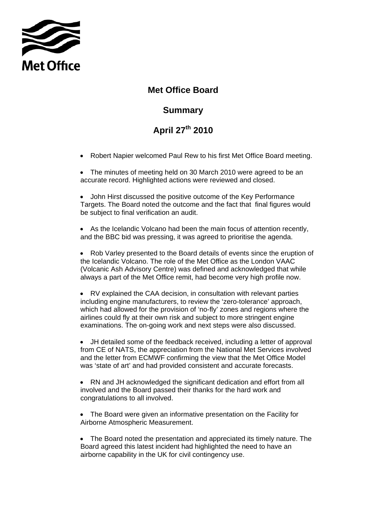

## **Met Office Board**

## **Summary**

## **April 27th 2010**

• Robert Napier welcomed Paul Rew to his first Met Office Board meeting.

• The minutes of meeting held on 30 March 2010 were agreed to be an accurate record. Highlighted actions were reviewed and closed.

• John Hirst discussed the positive outcome of the Key Performance Targets. The Board noted the outcome and the fact that final figures would be subject to final verification an audit.

• As the Icelandic Volcano had been the main focus of attention recently, and the BBC bid was pressing, it was agreed to prioritise the agenda.

• Rob Varley presented to the Board details of events since the eruption of the Icelandic Volcano. The role of the Met Office as the London VAAC (Volcanic Ash Advisory Centre) was defined and acknowledged that while always a part of the Met Office remit, had become very high profile now.

• RV explained the CAA decision, in consultation with relevant parties including engine manufacturers, to review the 'zero-tolerance' approach, which had allowed for the provision of 'no-fly' zones and regions where the airlines could fly at their own risk and subject to more stringent engine examinations. The on-going work and next steps were also discussed.

• JH detailed some of the feedback received, including a letter of approval from CE of NATS, the appreciation from the National Met Services involved and the letter from ECMWF confirming the view that the Met Office Model was 'state of art' and had provided consistent and accurate forecasts.

• RN and JH acknowledged the significant dedication and effort from all involved and the Board passed their thanks for the hard work and congratulations to all involved.

• The Board were given an informative presentation on the Facility for Airborne Atmospheric Measurement.

• The Board noted the presentation and appreciated its timely nature. The Board agreed this latest incident had highlighted the need to have an airborne capability in the UK for civil contingency use.